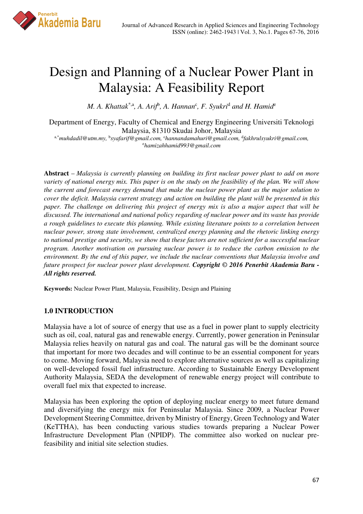

# Design and Planning of a Nuclear Power Plant in Malaysia: A Feasibility Report

*M. A. Khattak*\*,a*, A. Arif*<sup>b</sup> *, A. Hannan*<sup>c</sup> *, F. Syukri*<sup>d</sup>  *and H. Hamid*<sup>e</sup>

Department of Energy, Faculty of Chemical and Energy Engineering Universiti Teknologi Malaysia, 81310 Skudai Johor, Malaysia

a,\**muhdadil@utm.my,* <sup>b</sup> *syafarif@gmail.com,* <sup>c</sup>*hannandamahuri@gmail.com,* <sup>d</sup> *fakhrulsyukri@gmail.com,* <sup>e</sup>*hamizahhamid993@gmail.com*

**Abstract** – *Malaysia is currently planning on building its first nuclear power plant to add on more variety of national energy mix. This paper is on the study on the feasibility of the plan. We will show the current and forecast energy demand that make the nuclear power plant as the major solution to cover the deficit. Malaysia current strategy and action on building the plant will be presented in this paper. The challenge on delivering this project of energy mix is also a major aspect that will be discussed. The international and national policy regarding of nuclear power and its waste has provide a rough guidelines to execute this planning. While existing literature points to a correlation between nuclear power, strong state involvement, centralized energy planning and the rhetoric linking energy to national prestige and security, we show that these factors are not sufficient for a successful nuclear program. Another motivation on pursuing nuclear power is to reduce the carbon emission to the environment. By the end of this paper, we include the nuclear conventions that Malaysia involve and future prospect for nuclear power plant development. Copyright © 2016 Penerbit Akademia Baru - All rights reserved.* 

**Keywords:** Nuclear Power Plant, Malaysia, Feasibility, Design and Plaining

### **1.0 INTRODUCTION**

Malaysia have a lot of source of energy that use as a fuel in power plant to supply electricity such as oil, coal, natural gas and renewable energy. Currently, power generation in Peninsular Malaysia relies heavily on natural gas and coal. The natural gas will be the dominant source that important for more two decades and will continue to be an essential component for years to come. Moving forward, Malaysia need to explore alternative sources as well as capitalizing on well-developed fossil fuel infrastructure. According to Sustainable Energy Development Authority Malaysia, SEDA the development of renewable energy project will contribute to overall fuel mix that expected to increase.

Malaysia has been exploring the option of deploying nuclear energy to meet future demand and diversifying the energy mix for Peninsular Malaysia. Since 2009, a Nuclear Power Development Steering Committee, driven by Ministry of Energy, Green Technology and Water (KeTTHA), has been conducting various studies towards preparing a Nuclear Power Infrastructure Development Plan (NPIDP). The committee also worked on nuclear prefeasibility and initial site selection studies.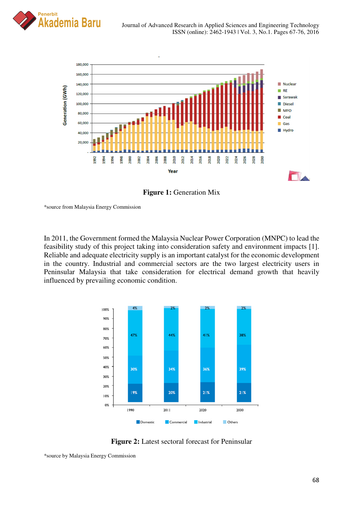



**Figure 1: Generation Mix** 

\*source from Malaysia Energy Commission

In 2011, the Government formed the Malaysia Nuclear Power Corporation (MNPC) to lead the feasibility study of this project taking into consideration safety and environment impacts [1]. Reliable and adequate electricity supply is an important catalyst for the economic development in the country. Industrial and commercial sectors are the two largest electricity users in Peninsular Malaysia that take consideration for electrical demand growth that heavily influenced by prevailing economic condition.



**Figure 2:** Latest sectoral forecast for Peninsular

<sup>\*</sup>source by Malaysia Energy Commission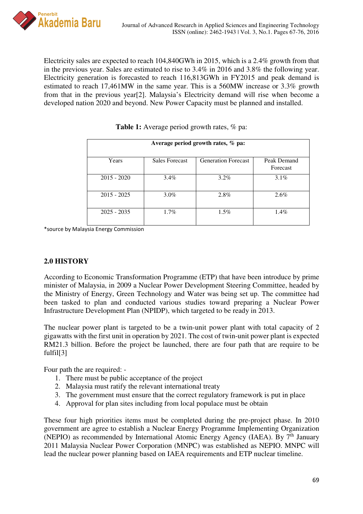Electricity sales are expected to reach 104,840GWh in 2015, which is a 2.4% growth from that in the previous year. Sales are estimated to rise to 3.4% in 2016 and 3.8% the following year. Electricity generation is forecasted to reach 116,813GWh in FY2015 and peak demand is estimated to reach 17,461MW in the same year. This is a 560MW increase or 3.3% growth from that in the previous year[2]. Malaysia's Electricity demand will rise when become a developed nation 2020 and beyond. New Power Capacity must be planned and installed.

| Average period growth rates, % pa: |                       |                            |                         |
|------------------------------------|-----------------------|----------------------------|-------------------------|
| Years                              | <b>Sales Forecast</b> | <b>Generation Forecast</b> | Peak Demand<br>Forecast |
| $2015 - 2020$                      | $3.4\%$               | $3.2\%$                    | $3.1\%$                 |
| $2015 - 2025$                      | $3.0\%$               | 2.8%                       | 2.6%                    |
| $2025 - 2035$                      | $1.7\%$               | $1.5\%$                    | $1.4\%$                 |

**Table 1:** Average period growth rates, % pa:

\*source by Malaysia Energy Commission

## **2.0 HISTORY**

According to Economic Transformation Programme (ETP) that have been introduce by prime minister of Malaysia, in 2009 a Nuclear Power Development Steering Committee, headed by the Ministry of Energy, Green Technology and Water was being set up. The committee had been tasked to plan and conducted various studies toward preparing a Nuclear Power Infrastructure Development Plan (NPIDP), which targeted to be ready in 2013.

The nuclear power plant is targeted to be a twin-unit power plant with total capacity of 2 gigawatts with the first unit in operation by 2021. The cost of twin-unit power plant is expected RM21.3 billion. Before the project be launched, there are four path that are require to be fulfil[3]

Four path the are required: -

- 1. There must be public acceptance of the project
- 2. Malaysia must ratify the relevant international treaty
- 3. The government must ensure that the correct regulatory framework is put in place
- 4. Approval for plan sites including from local populace must be obtain

These four high priorities items must be completed during the pre-project phase. In 2010 government are agree to establish a Nuclear Energy Programme Implementing Organization (NEPIO) as recommended by International Atomic Energy Agency (IAEA). By 7<sup>th</sup> January 2011 Malaysia Nuclear Power Corporation (MNPC) was established as NEPIO. MNPC will lead the nuclear power planning based on IAEA requirements and ETP nuclear timeline.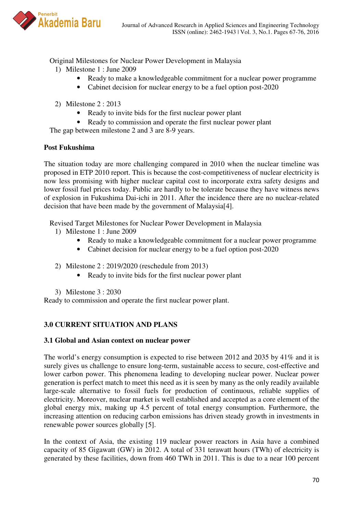

Original Milestones for Nuclear Power Development in Malaysia

- 1) Milestone 1 : June 2009
	- Ready to make a knowledgeable commitment for a nuclear power programme
	- Cabinet decision for nuclear energy to be a fuel option post-2020
- 2) Milestone 2 : 2013
	- Ready to invite bids for the first nuclear power plant
	- Ready to commission and operate the first nuclear power plant

The gap between milestone 2 and 3 are 8-9 years.

## **Post Fukushima**

The situation today are more challenging compared in 2010 when the nuclear timeline was proposed in ETP 2010 report. This is because the cost-competitiveness of nuclear electricity is now less promising with higher nuclear capital cost to incorporate extra safety designs and lower fossil fuel prices today. Public are hardly to be tolerate because they have witness news of explosion in Fukushima Dai-ichi in 2011. After the incidence there are no nuclear-related decision that have been made by the government of Malaysia[4].

Revised Target Milestones for Nuclear Power Development in Malaysia

- 1) Milestone 1 : June 2009
	- Ready to make a knowledgeable commitment for a nuclear power programme
	- Cabinet decision for nuclear energy to be a fuel option post-2020

### 2) Milestone 2 : 2019/2020 (reschedule from 2013)

- Ready to invite bids for the first nuclear power plant
- 3) Milestone 3 : 2030

Ready to commission and operate the first nuclear power plant.

## **3.0 CURRENT SITUATION AND PLANS**

### **3.1 Global and Asian context on nuclear power**

The world's energy consumption is expected to rise between 2012 and 2035 by 41% and it is surely gives us challenge to ensure long-term, sustainable access to secure, cost-effective and lower carbon power. This phenomena leading to developing nuclear power. Nuclear power generation is perfect match to meet this need as it is seen by many as the only readily available large-scale alternative to fossil fuels for production of continuous, reliable supplies of electricity. Moreover, nuclear market is well established and accepted as a core element of the global energy mix, making up 4.5 percent of total energy consumption. Furthermore, the increasing attention on reducing carbon emissions has driven steady growth in investments in renewable power sources globally [5].

In the context of Asia, the existing 119 nuclear power reactors in Asia have a combined capacity of 85 Gigawatt (GW) in 2012. A total of 331 terawatt hours (TWh) of electricity is generated by these facilities, down from 460 TWh in 2011. This is due to a near 100 percent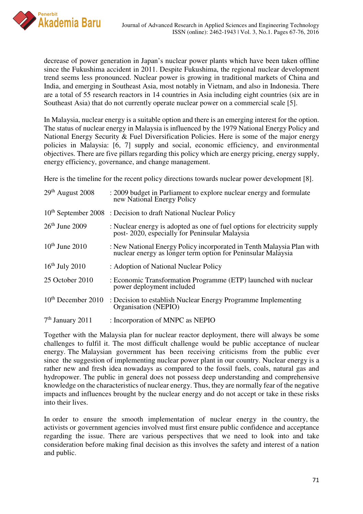

decrease of power generation in Japan's nuclear power plants which have been taken offline since the Fukushima accident in 2011. Despite Fukushima, the regional nuclear development trend seems less pronounced. Nuclear power is growing in traditional markets of China and India, and emerging in Southeast Asia, most notably in Vietnam, and also in Indonesia. There are a total of 55 research reactors in 14 countries in Asia including eight countries (six are in Southeast Asia) that do not currently operate nuclear power on a commercial scale [5].

In Malaysia, nuclear energy is a suitable option and there is an emerging interest for the option. The status of nuclear energy in Malaysia is influenced by the 1979 National Energy Policy and National Energy Security & Fuel Diversification Policies. Here is some of the major energy policies in Malaysia: [6, 7] supply and social, economic efficiency, and environmental objectives. There are five pillars regarding this policy which are energy pricing, energy supply, energy efficiency, governance, and change management.

Here is the timeline for the recent policy directions towards nuclear power development [8].

| $29th$ August 2008             | : 2009 budget in Parliament to explore nuclear energy and formulate<br>new National Energy Policy                                     |
|--------------------------------|---------------------------------------------------------------------------------------------------------------------------------------|
|                                | $10th$ September 2008 : Decision to draft National Nuclear Policy                                                                     |
| $26th$ June 2009               | : Nuclear energy is adopted as one of fuel options for electricity supply<br>post-2020, especially for Peninsular Malaysia            |
| $10^{th}$ June 2010            | : New National Energy Policy incorporated in Tenth Malaysia Plan with<br>nuclear energy as longer term option for Peninsular Malaysia |
| $16th$ July 2010               | : Adoption of National Nuclear Policy                                                                                                 |
| 25 October 2010                | : Economic Transformation Programme (ETP) launched with nuclear<br>power deployment included                                          |
| 10 <sup>th</sup> December 2010 | : Decision to establish Nuclear Energy Programme Implementing<br>Organisation (NEPIO)                                                 |
| $7th$ January 2011             | : Incorporation of MNPC as NEPIO                                                                                                      |
|                                |                                                                                                                                       |

Together with the Malaysia plan for nuclear reactor deployment, there will always be some challenges to fulfil it. The most difficult challenge would be public acceptance of nuclear energy. The Malaysian government has been receiving criticisms from the public ever since the suggestion of implementing nuclear power plant in our country. Nuclear energy is a rather new and fresh idea nowadays as compared to the fossil fuels, coals, natural gas and hydropower. The public in general does not possess deep understanding and comprehensive knowledge on the characteristics of nuclear energy. Thus, they are normally fear of the negative impacts and influences brought by the nuclear energy and do not accept or take in these risks into their lives.

In order to ensure the smooth implementation of nuclear energy in the country, the activists or government agencies involved must first ensure public confidence and acceptance regarding the issue. There are various perspectives that we need to look into and take consideration before making final decision as this involves the safety and interest of a nation and public.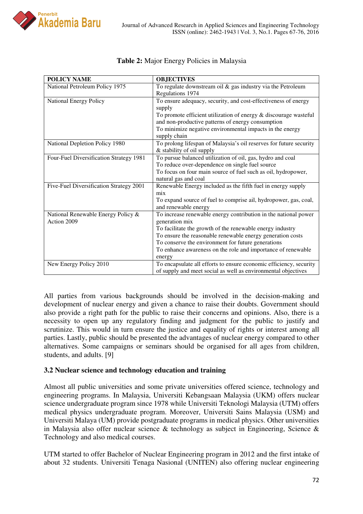

| <b>POLICY NAME</b>                      | <b>OBJECTIVES</b>                                                  |
|-----------------------------------------|--------------------------------------------------------------------|
| National Petroleum Policy 1975          | To regulate downstream oil $&$ gas industry via the Petroleum      |
|                                         | Regulations 1974                                                   |
| National Energy Policy                  | To ensure adequacy, security, and cost-effectiveness of energy     |
|                                         | supply                                                             |
|                                         | To promote efficient utilization of energy $&$ discourage wasteful |
|                                         | and non-productive patterns of energy consumption                  |
|                                         | To minimize negative environmental impacts in the energy           |
|                                         | supply chain                                                       |
| National Depletion Policy 1980          | To prolong lifespan of Malaysia's oil reserves for future security |
|                                         | & stability of oil supply                                          |
| Four-Fuel Diversification Strategy 1981 | To pursue balanced utilization of oil, gas, hydro and coal         |
|                                         | To reduce over-dependence on single fuel source                    |
|                                         | To focus on four main source of fuel such as oil, hydropower,      |
|                                         | natural gas and coal                                               |
| Five-Fuel Diversification Strategy 2001 | Renewable Energy included as the fifth fuel in energy supply       |
|                                         | mix                                                                |
|                                         | To expand source of fuel to comprise ail, hydropower, gas, coal,   |
|                                         | and renewable energy                                               |
| National Renewable Energy Policy &      | To increase renewable energy contribution in the national power    |
| Action 2009                             | generation mix                                                     |
|                                         | To facilitate the growth of the renewable energy industry          |
|                                         | To ensure the reasonable renewable energy generation costs         |
|                                         | To conserve the environment for future generations                 |
|                                         | To enhance awareness on the role and importance of renewable       |
|                                         | energy                                                             |
| New Energy Policy 2010                  | To encapsulate all efforts to ensure economic efficiency, security |
|                                         | of supply and meet social as well as environmental objectives      |

## Table 2: Major Energy Policies in Malaysia

All parties from various backgrounds should be involved in the decision-making and development of nuclear energy and given a chance to raise their doubts. Government should also provide a right path for the public to raise their concerns and opinions. Also, there is a necessity to open up any regulatory finding and judgment for the public to justify and scrutinize. This would in turn ensure the justice and equality of rights or interest among all parties. Lastly, public should be presented the advantages of nuclear energy compared to other alternatives. Some campaigns or seminars should be organised for all ages from children, students, and adults. [9]

## **3.2 Nuclear science and technology education and training**

Almost all public universities and some private universities offered science, technology and engineering programs. In Malaysia, Universiti Kebangsaan Malaysia (UKM) offers nuclear science undergraduate program since 1978 while Universiti Teknologi Malaysia (UTM) offers medical physics undergraduate program. Moreover, Universiti Sains Malaysia (USM) and Universiti Malaya (UM) provide postgraduate programs in medical physics. Other universities in Malaysia also offer nuclear science & technology as subject in Engineering, Science & Technology and also medical courses.

UTM started to offer Bachelor of Nuclear Engineering program in 2012 and the first intake of about 32 students. Universiti Tenaga Nasional (UNITEN) also offering nuclear engineering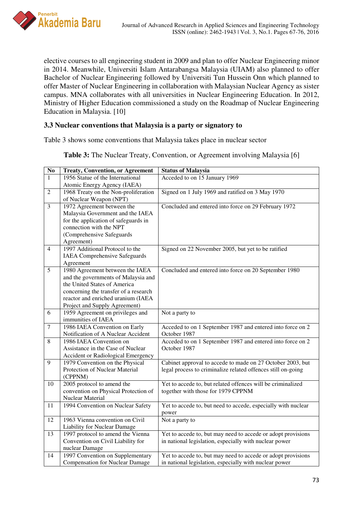

elective courses to all engineering student in 2009 and plan to offer Nuclear Engineering minor in 2014. Meanwhile, Universiti Islam Antarabangsa Malaysia (UIAM) also planned to offer Bachelor of Nuclear Engineering followed by Universiti Tun Hussein Onn which planned to offer Master of Nuclear Engineering in collaboration with Malaysian Nuclear Agency as sister campus. MNA collaborates with all universities in Nuclear Engineering Education. In 2012, Ministry of Higher Education commissioned a study on the Roadmap of Nuclear Engineering Education in Malaysia. [10]

## **3.3 Nuclear conventions that Malaysia is a party or signatory to**

Table 3 shows some conventions that Malaysia takes place in nuclear sector

**Table 3:** The Nuclear Treaty, Convention, or Agreement involving Malaysia [6]

| N <sub>0</sub> | <b>Treaty, Convention, or Agreement</b>                           | <b>Status of Malaysia</b>                                     |
|----------------|-------------------------------------------------------------------|---------------------------------------------------------------|
| $\mathbf{1}$   | 1956 Statue of the International                                  | Acceded to on 15 January 1969                                 |
|                | Atomic Energy Agency (IAEA)                                       |                                                               |
| $\overline{2}$ | 1968 Treaty on the Non-proliferation                              | Signed on 1 July 1969 and ratified on 3 May 1970              |
|                | of Nuclear Weapon (NPT)                                           |                                                               |
| $\overline{3}$ | 1972 Agreement between the                                        | Concluded and entered into force on 29 February 1972          |
|                | Malaysia Government and the IAEA                                  |                                                               |
|                | for the application of safeguards in                              |                                                               |
|                | connection with the NPT                                           |                                                               |
|                | (Comprehensive Safeguards                                         |                                                               |
|                | Agreement)                                                        |                                                               |
| $\overline{4}$ | 1997 Additional Protocol to the                                   | Signed on 22 November 2005, but yet to be ratified            |
|                | <b>IAEA</b> Comprehensive Safeguards                              |                                                               |
|                | Agreement                                                         |                                                               |
| $\overline{5}$ | 1980 Agreement between the IAEA                                   | Concluded and entered into force on 20 September 1980         |
|                | and the governments of Malaysia and                               |                                                               |
|                | the United States of America                                      |                                                               |
|                | concerning the transfer of a research                             |                                                               |
|                | reactor and enriched uranium (IAEA                                |                                                               |
|                | Project and Supply Agreement)                                     |                                                               |
| 6              | 1959 Agreement on privileges and                                  | Not a party to                                                |
|                | immunities of IAEA                                                |                                                               |
| $\overline{7}$ | 1986 IAEA Convention on Early                                     | Acceded to on 1 September 1987 and entered into force on 2    |
|                | Notification of A Nuclear Accident                                | October 1987                                                  |
| 8              | 1986 IAEA Convention on                                           | Acceded to on 1 September 1987 and entered into force on 2    |
|                | Assistance in the Case of Nuclear                                 | October 1987                                                  |
|                | Accident or Radiological Emergency                                |                                                               |
| 9              | 1979 Convention on the Physical<br>Protection of Nuclear Material | Cabinet approval to accede to made on 27 October 2003, but    |
|                | (CPPNM)                                                           | legal process to criminalize related offences still on-going  |
| 10             | 2005 protocol to amend the                                        | Yet to accede to, but related offences will be criminalized   |
|                | convention on Physical Protection of                              | together with those for 1979 CPPNM                            |
|                | Nuclear Material                                                  |                                                               |
| 11             | 1994 Convention on Nuclear Safety                                 | Yet to accede to, but need to accede, especially with nuclear |
|                |                                                                   | power                                                         |
| 12             | 1963 Vienna convention on Civil                                   | Not a party to                                                |
|                | Liability for Nuclear Damage                                      |                                                               |
| 13             | 1997 protocol to amend the Vienna                                 | Yet to accede to, but may need to accede or adopt provisions  |
|                | Convention on Civil Liability for                                 | in national legislation, especially with nuclear power        |
|                | nuclear Damage                                                    |                                                               |
| 14             | 1997 Convention on Supplementary                                  | Yet to accede to, but may need to accede or adopt provisions  |
|                | <b>Compensation for Nuclear Damage</b>                            | in national legislation, especially with nuclear power        |
|                |                                                                   |                                                               |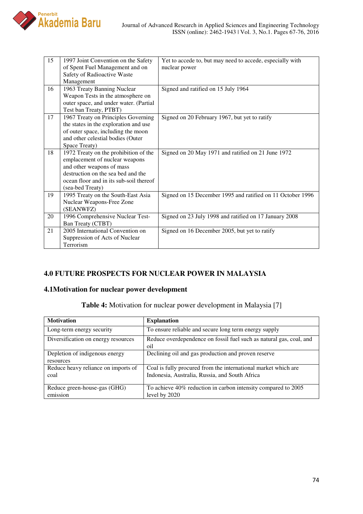

| 15 | 1997 Joint Convention on the Safety     | Yet to accede to, but may need to accede, especially with  |
|----|-----------------------------------------|------------------------------------------------------------|
|    | of Spent Fuel Management and on         | nuclear power                                              |
|    | Safety of Radioactive Waste             |                                                            |
|    | Management                              |                                                            |
| 16 | 1963 Treaty Banning Nuclear             | Signed and ratified on 15 July 1964                        |
|    | Weapon Tests in the atmosphere on       |                                                            |
|    | outer space, and under water. (Partial  |                                                            |
|    | Test ban Treaty, PTBT)                  |                                                            |
| 17 | 1967 Treaty on Principles Governing     | Signed on 20 February 1967, but yet to ratify              |
|    | the states in the exploration and use   |                                                            |
|    | of outer space, including the moon      |                                                            |
|    | and other celestial bodies (Outer       |                                                            |
|    | Space Treaty)                           |                                                            |
| 18 | 1972 Treaty on the prohibition of the   | Signed on 20 May 1971 and ratified on 21 June 1972         |
|    | emplacement of nuclear weapons          |                                                            |
|    | and other weapons of mass               |                                                            |
|    | destruction on the sea bed and the      |                                                            |
|    | ocean floor and in its sub-soil thereof |                                                            |
|    | (sea-bed Treaty)                        |                                                            |
| 19 | 1995 Treaty on the South-East Asia      | Signed on 15 December 1995 and ratified on 11 October 1996 |
|    | Nuclear Weapons-Free Zone               |                                                            |
|    | (SEANWFZ)                               |                                                            |
| 20 | 1996 Comprehensive Nuclear Test-        | Signed on 23 July 1998 and ratified on 17 January 2008     |
|    | Ban Treaty (CTBT)                       |                                                            |
| 21 | 2005 International Convention on        | Signed on 16 December 2005, but yet to ratify              |
|    | Suppression of Acts of Nuclear          |                                                            |
|    | Terrorism                               |                                                            |

## **4.0 FUTURE PROSPECTS FOR NUCLEAR POWER IN MALAYSIA**

### **4.1Motivation for nuclear power development**

**Table 4:** Motivation for nuclear power development in Malaysia [7]

| <b>Motivation</b>                           | <b>Explanation</b>                                                                                               |
|---------------------------------------------|------------------------------------------------------------------------------------------------------------------|
| Long-term energy security                   | To ensure reliable and secure long term energy supply                                                            |
| Diversification on energy resources         | Reduce overdependence on fossil fuel such as natural gas, coal, and<br>$\overline{01}$                           |
| Depletion of indigenous energy<br>resources | Declining oil and gas production and proven reserve                                                              |
| Reduce heavy reliance on imports of<br>coal | Coal is fully procured from the international market which are<br>Indonesia, Australia, Russia, and South Africa |
| Reduce green-house-gas (GHG)<br>emission    | To achieve 40% reduction in carbon intensity compared to 2005<br>level by 2020                                   |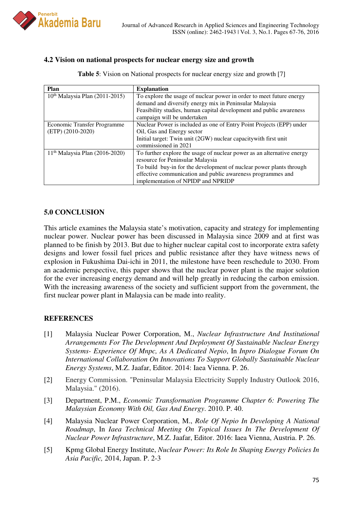

## **4.2 Vision on national prospects for nuclear energy size and growth**

| Plan                                       | <b>Explanation</b>                                                     |
|--------------------------------------------|------------------------------------------------------------------------|
| $10th$ Malaysia Plan (2011-2015)           | To explore the usage of nuclear power in order to meet future energy   |
|                                            | demand and diversify energy mix in Peninsular Malaysia                 |
|                                            | Feasibility studies, human capital development and public awareness    |
|                                            | campaign will be undertaken                                            |
| Economic Transfer Programme                | Nuclear Power is included as one of Entry Point Projects (EPP) under   |
| $(ETP)$ (2010-2020)                        | Oil, Gas and Energy sector                                             |
|                                            | Initial target: Twin unit (2GW) nuclear capacity with first unit       |
|                                            | commissioned in 2021                                                   |
| 11 <sup>th</sup> Malaysia Plan (2016-2020) | To further explore the usage of nuclear power as an alternative energy |
|                                            | resource for Peninsular Malaysia                                       |
|                                            | To build buy-in for the development of nuclear power plants through    |
|                                            | effective communication and public awareness programmes and            |
|                                            | implementation of NPIDP and NPRIDP                                     |

**Table 5**: Vision on National prospects for nuclear energy size and growth [7]

## **5.0 CONCLUSION**

This article examines the Malaysia state's motivation, capacity and strategy for implementing nuclear power. Nuclear power has been discussed in Malaysia since 2009 and at first was planned to be finish by 2013. But due to higher nuclear capital cost to incorporate extra safety designs and lower fossil fuel prices and public resistance after they have witness news of explosion in Fukushima Dai-ichi in 2011, the milestone have been reschedule to 2030. From an academic perspective, this paper shows that the nuclear power plant is the major solution for the ever increasing energy demand and will help greatly in reducing the carbon emission. With the increasing awareness of the society and sufficient support from the government, the first nuclear power plant in Malaysia can be made into reality.

### **REFERENCES**

- [1] Malaysia Nuclear Power Corporation, M., *Nuclear Infrastructure And Institutional Arrangements For The Development And Deployment Of Sustainable Nuclear Energy Systems- Experience Of Mnpc, As A Dedicated Nepio*, In *Inpro Dialogue Forum On International Collaboration On Innovations To Support Globally Sustainable Nuclear Energy Systems*, M.Z. Jaafar, Editor. 2014: Iaea Vienna. P. 26.
- [2] Energy Commission. "Peninsular Malaysia Electricity Supply Industry Outlook 2016, Malaysia." (2016).
- [3] Department, P.M., *Economic Transformation Programme Chapter 6: Powering The Malaysian Economy With Oil, Gas And Energy*. 2010. P. 40.
- [4] Malaysia Nuclear Power Corporation, M., *Role Of Nepio In Developing A National Roadmap*, In *Iaea Technical Meeting On Topical Issues In The Development Of Nuclear Power Infrastructure*, M.Z. Jaafar, Editor. 2016: Iaea Vienna, Austria. P. 26.
- [5] Kpmg Global Energy Institute, *Nuclear Power: Its Role In Shaping Energy Policies In Asia Pacific,* 2014, Japan. P. 2-3